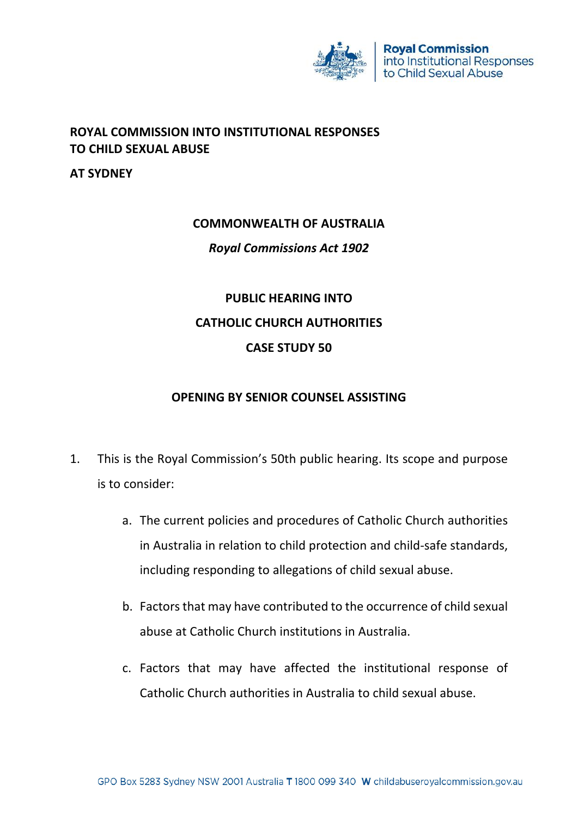

## **ROYAL COMMISSION INTO INSTITUTIONAL RESPONSES TO CHILD SEXUAL ABUSE**

**AT SYDNEY**

#### **COMMONWEALTH OF AUSTRALIA**

*Royal Commissions Act 1902*

# **PUBLIC HEARING INTO CATHOLIC CHURCH AUTHORITIES CASE STUDY 50**

## **OPENING BY SENIOR COUNSEL ASSISTING**

- 1. This is the Royal Commission's 50th public hearing. Its scope and purpose is to consider:
	- a. The current policies and procedures of Catholic Church authorities in Australia in relation to child protection and child-safe standards, including responding to allegations of child sexual abuse.
	- b. Factors that may have contributed to the occurrence of child sexual abuse at Catholic Church institutions in Australia.
	- c. Factors that may have affected the institutional response of Catholic Church authorities in Australia to child sexual abuse.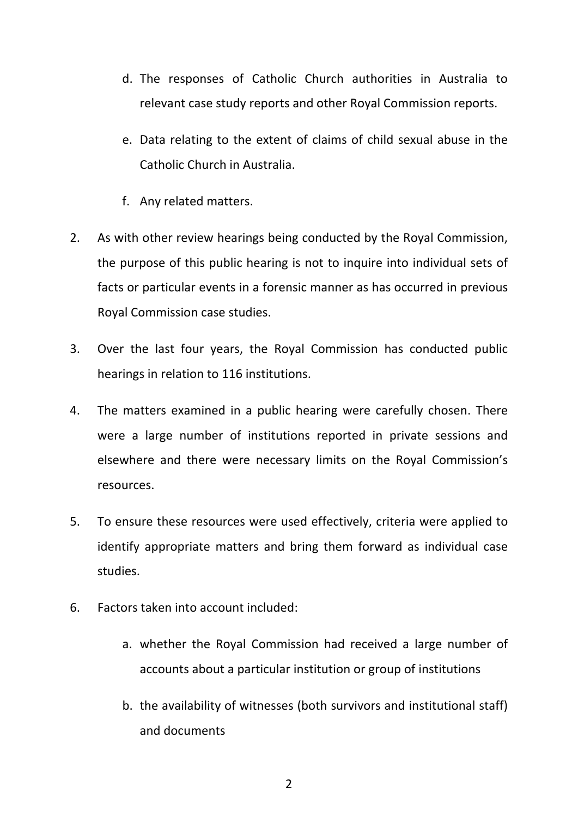- d. The responses of Catholic Church authorities in Australia to relevant case study reports and other Royal Commission reports.
- e. Data relating to the extent of claims of child sexual abuse in the Catholic Church in Australia.
- f. Any related matters.
- 2. As with other review hearings being conducted by the Royal Commission, the purpose of this public hearing is not to inquire into individual sets of facts or particular events in a forensic manner as has occurred in previous Royal Commission case studies.
- 3. Over the last four years, the Royal Commission has conducted public hearings in relation to 116 institutions.
- 4. The matters examined in a public hearing were carefully chosen. There were a large number of institutions reported in private sessions and elsewhere and there were necessary limits on the Royal Commission's resources.
- 5. To ensure these resources were used effectively, criteria were applied to identify appropriate matters and bring them forward as individual case studies.
- 6. Factors taken into account included:
	- a. whether the Royal Commission had received a large number of accounts about a particular institution or group of institutions
	- b. the availability of witnesses (both survivors and institutional staff) and documents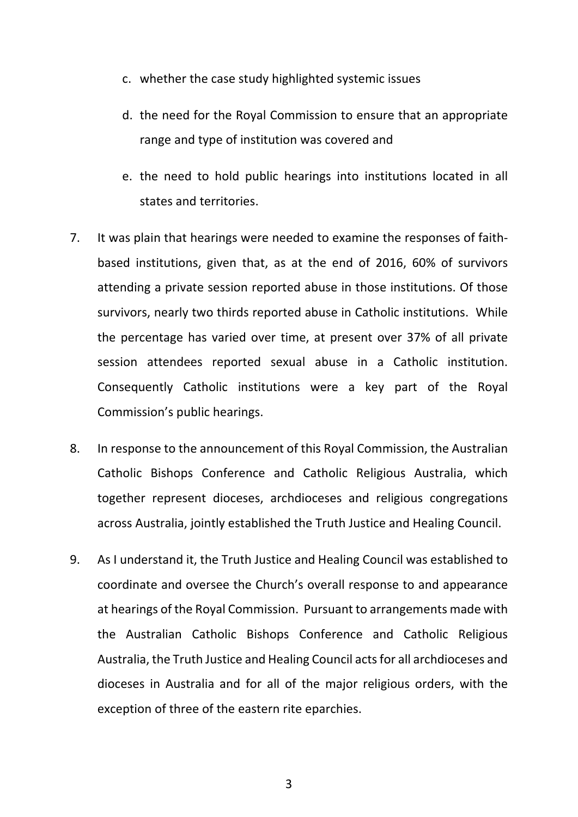- c. whether the case study highlighted systemic issues
- d. the need for the Royal Commission to ensure that an appropriate range and type of institution was covered and
- e. the need to hold public hearings into institutions located in all states and territories.
- 7. It was plain that hearings were needed to examine the responses of faithbased institutions, given that, as at the end of 2016, 60% of survivors attending a private session reported abuse in those institutions. Of those survivors, nearly two thirds reported abuse in Catholic institutions. While the percentage has varied over time, at present over 37% of all private session attendees reported sexual abuse in a Catholic institution. Consequently Catholic institutions were a key part of the Royal Commission's public hearings.
- 8. In response to the announcement of this Royal Commission, the Australian Catholic Bishops Conference and Catholic Religious Australia, which together represent dioceses, archdioceses and religious congregations across Australia, jointly established the Truth Justice and Healing Council.
- 9. As I understand it, the Truth Justice and Healing Council was established to coordinate and oversee the Church's overall response to and appearance at hearings of the Royal Commission. Pursuant to arrangements made with the Australian Catholic Bishops Conference and Catholic Religious Australia, the Truth Justice and Healing Council acts for all archdioceses and dioceses in Australia and for all of the major religious orders, with the exception of three of the eastern rite eparchies.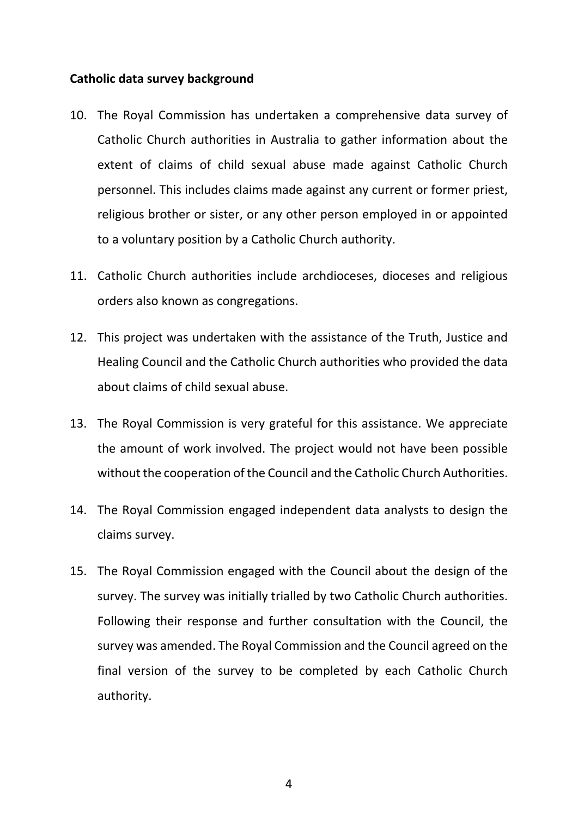### **Catholic data survey background**

- 10. The Royal Commission has undertaken a comprehensive data survey of Catholic Church authorities in Australia to gather information about the extent of claims of child sexual abuse made against Catholic Church personnel. This includes claims made against any current or former priest, religious brother or sister, or any other person employed in or appointed to a voluntary position by a Catholic Church authority.
- 11. Catholic Church authorities include archdioceses, dioceses and religious orders also known as congregations.
- 12. This project was undertaken with the assistance of the Truth, Justice and Healing Council and the Catholic Church authorities who provided the data about claims of child sexual abuse.
- 13. The Royal Commission is very grateful for this assistance. We appreciate the amount of work involved. The project would not have been possible without the cooperation of the Council and the Catholic Church Authorities.
- 14. The Royal Commission engaged independent data analysts to design the claims survey.
- 15. The Royal Commission engaged with the Council about the design of the survey. The survey was initially trialled by two Catholic Church authorities. Following their response and further consultation with the Council, the survey was amended. The Royal Commission and the Council agreed on the final version of the survey to be completed by each Catholic Church authority.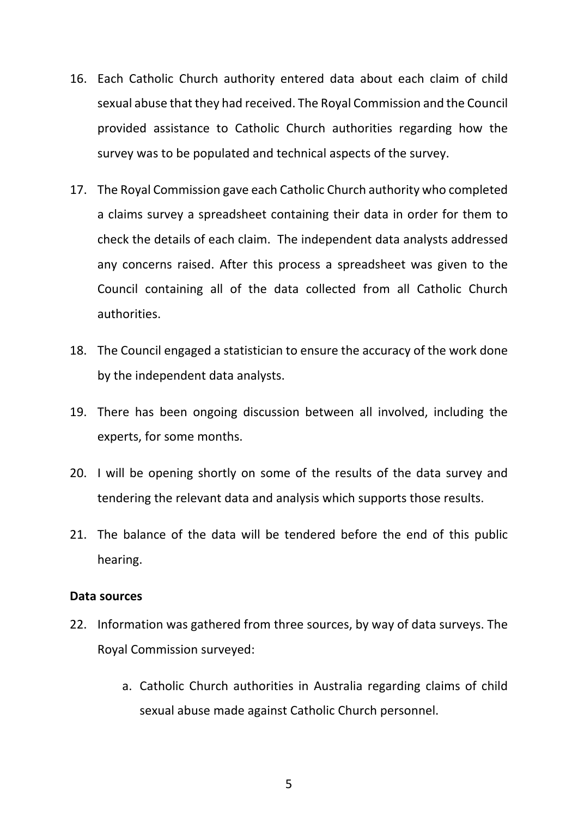- 16. Each Catholic Church authority entered data about each claim of child sexual abuse that they had received. The Royal Commission and the Council provided assistance to Catholic Church authorities regarding how the survey was to be populated and technical aspects of the survey.
- 17. The Royal Commission gave each Catholic Church authority who completed a claims survey a spreadsheet containing their data in order for them to check the details of each claim. The independent data analysts addressed any concerns raised. After this process a spreadsheet was given to the Council containing all of the data collected from all Catholic Church authorities.
- 18. The Council engaged a statistician to ensure the accuracy of the work done by the independent data analysts.
- 19. There has been ongoing discussion between all involved, including the experts, for some months.
- 20. I will be opening shortly on some of the results of the data survey and tendering the relevant data and analysis which supports those results.
- 21. The balance of the data will be tendered before the end of this public hearing.

#### **Data sources**

- 22. Information was gathered from three sources, by way of data surveys. The Royal Commission surveyed:
	- a. Catholic Church authorities in Australia regarding claims of child sexual abuse made against Catholic Church personnel.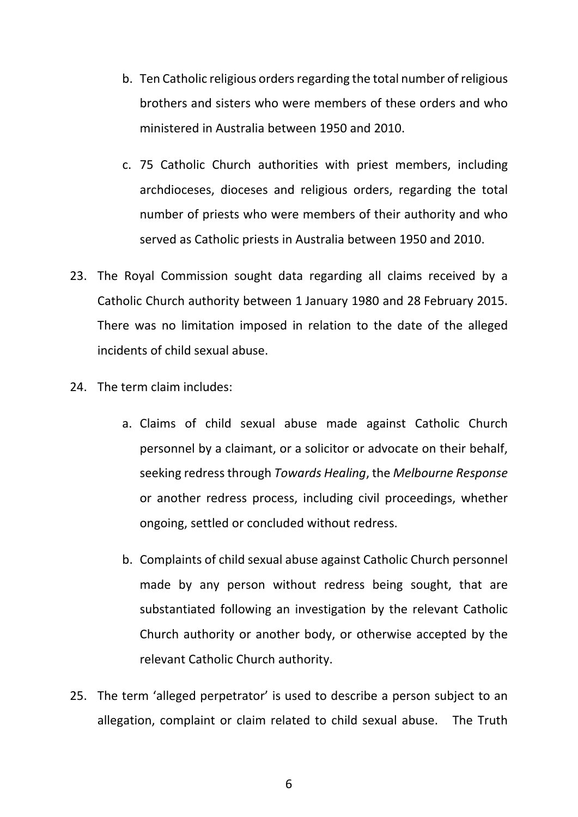- b. Ten Catholic religious orders regarding the total number of religious brothers and sisters who were members of these orders and who ministered in Australia between 1950 and 2010.
- c. 75 Catholic Church authorities with priest members, including archdioceses, dioceses and religious orders, regarding the total number of priests who were members of their authority and who served as Catholic priests in Australia between 1950 and 2010.
- 23. The Royal Commission sought data regarding all claims received by a Catholic Church authority between 1 January 1980 and 28 February 2015. There was no limitation imposed in relation to the date of the alleged incidents of child sexual abuse.
- 24. The term claim includes:
	- a. Claims of child sexual abuse made against Catholic Church personnel by a claimant, or a solicitor or advocate on their behalf, seeking redress through *Towards Healing*, the *Melbourne Response* or another redress process, including civil proceedings, whether ongoing, settled or concluded without redress.
	- b. Complaints of child sexual abuse against Catholic Church personnel made by any person without redress being sought, that are substantiated following an investigation by the relevant Catholic Church authority or another body, or otherwise accepted by the relevant Catholic Church authority.
- 25. The term 'alleged perpetrator' is used to describe a person subject to an allegation, complaint or claim related to child sexual abuse. The Truth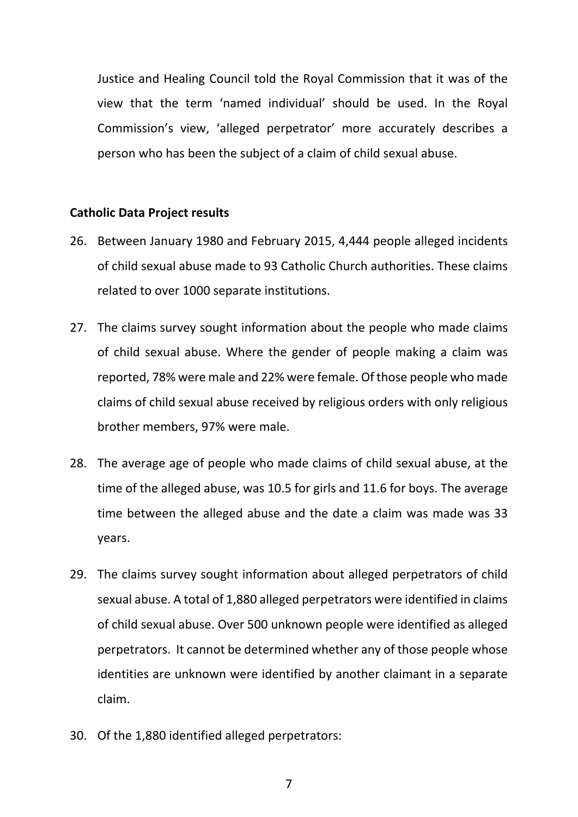Justice and Healing Council told the Royal Commission that it was of the view that the term 'named individual' should be used. In the Royal Commission's view, 'alleged perpetrator' more accurately describes a person who has been the subject of a claim of child sexual abuse.

#### **Catholic Data Project results**

- 26. Between January 1980 and February 2015, 4,444 people alleged incidents of child sexual abuse made to 93 Catholic Church authorities. These claims related to over 1000 separate institutions.
- 27. The claims survey sought information about the people who made claims of child sexual abuse. Where the gender of people making a claim was reported, 78% were male and 22% were female. Of those people who made claims of child sexual abuse received by religious orders with only religious brother members, 97% were male.
- 28. The average age of people who made claims of child sexual abuse, at the time of the alleged abuse, was 10.5 for girls and 11.6 for boys. The average time between the alleged abuse and the date a claim was made was 33 years.
- 29. The claims survey sought information about alleged perpetrators of child sexual abuse. A total of 1,880 alleged perpetrators were identified in claims of child sexual abuse. Over 500 unknown people were identified as alleged perpetrators. It cannot be determined whether any of those people whose identities are unknown were identified by another claimant in a separate claim.
- 30. Of the 1,880 identified alleged perpetrators: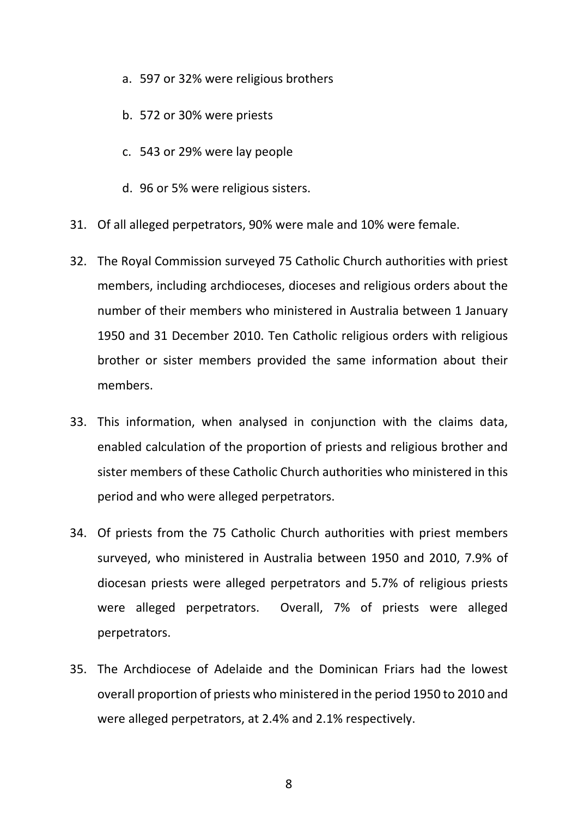- a. 597 or 32% were religious brothers
- b. 572 or 30% were priests
- c. 543 or 29% were lay people
- d. 96 or 5% were religious sisters.
- 31. Of all alleged perpetrators, 90% were male and 10% were female.
- 32. The Royal Commission surveyed 75 Catholic Church authorities with priest members, including archdioceses, dioceses and religious orders about the number of their members who ministered in Australia between 1 January 1950 and 31 December 2010. Ten Catholic religious orders with religious brother or sister members provided the same information about their members.
- 33. This information, when analysed in conjunction with the claims data, enabled calculation of the proportion of priests and religious brother and sister members of these Catholic Church authorities who ministered in this period and who were alleged perpetrators.
- 34. Of priests from the 75 Catholic Church authorities with priest members surveyed, who ministered in Australia between 1950 and 2010, 7.9% of diocesan priests were alleged perpetrators and 5.7% of religious priests were alleged perpetrators. Overall, 7% of priests were alleged perpetrators.
- 35. The Archdiocese of Adelaide and the Dominican Friars had the lowest overall proportion of priests who ministered in the period 1950 to 2010 and were alleged perpetrators, at 2.4% and 2.1% respectively.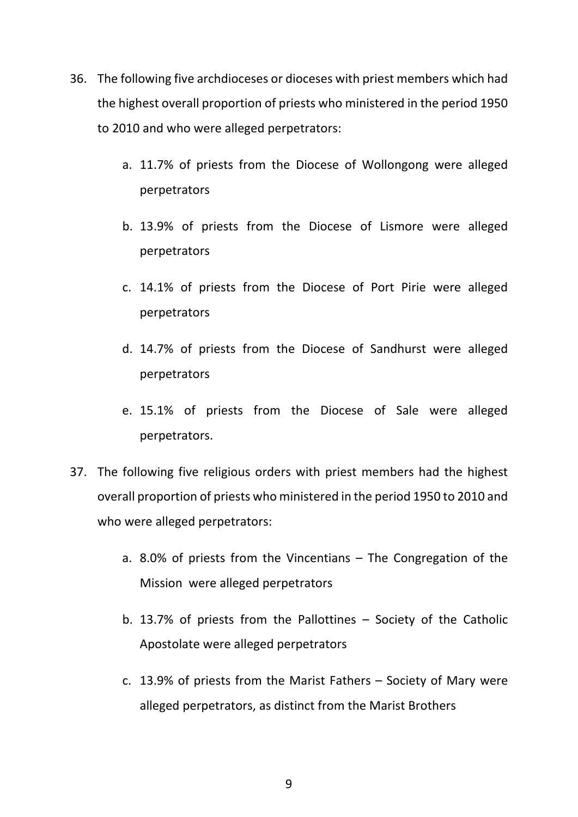- 36. The following five archdioceses or dioceses with priest members which had the highest overall proportion of priests who ministered in the period 1950 to 2010 and who were alleged perpetrators:
	- a. 11.7% of priests from the Diocese of Wollongong were alleged perpetrators
	- b. 13.9% of priests from the Diocese of Lismore were alleged perpetrators
	- c. 14.1% of priests from the Diocese of Port Pirie were alleged perpetrators
	- d. 14.7% of priests from the Diocese of Sandhurst were alleged perpetrators
	- e. 15.1% of priests from the Diocese of Sale were alleged perpetrators.
- 37. The following five religious orders with priest members had the highest overall proportion of priests who ministered in the period 1950 to 2010 and who were alleged perpetrators:
	- a. 8.0% of priests from the Vincentians The Congregation of the Mission were alleged perpetrators
	- b. 13.7% of priests from the Pallottines Society of the Catholic Apostolate were alleged perpetrators
	- c. 13.9% of priests from the Marist Fathers Society of Mary were alleged perpetrators, as distinct from the Marist Brothers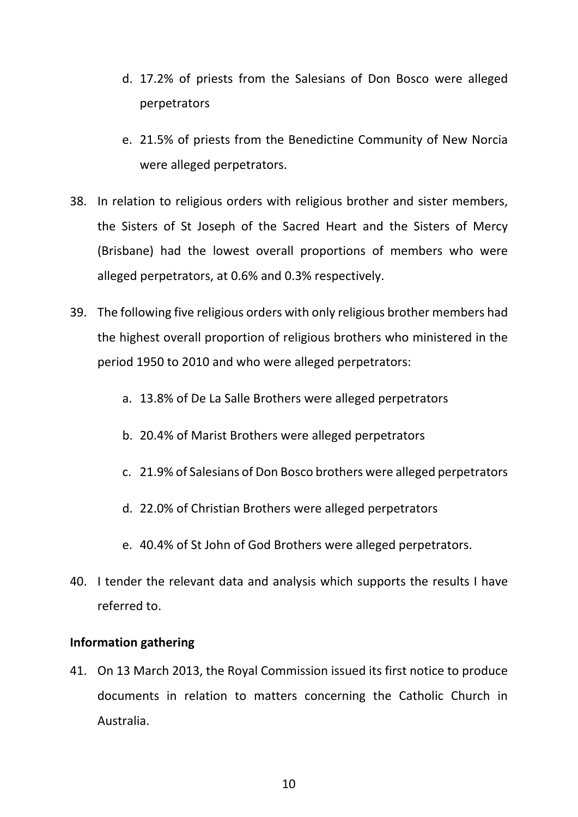- d. 17.2% of priests from the Salesians of Don Bosco were alleged perpetrators
- e. 21.5% of priests from the Benedictine Community of New Norcia were alleged perpetrators.
- 38. In relation to religious orders with religious brother and sister members, the Sisters of St Joseph of the Sacred Heart and the Sisters of Mercy (Brisbane) had the lowest overall proportions of members who were alleged perpetrators, at 0.6% and 0.3% respectively.
- 39. The following five religious orders with only religious brother members had the highest overall proportion of religious brothers who ministered in the period 1950 to 2010 and who were alleged perpetrators:
	- a. 13.8% of De La Salle Brothers were alleged perpetrators
	- b. 20.4% of Marist Brothers were alleged perpetrators
	- c. 21.9% of Salesians of Don Bosco brothers were alleged perpetrators
	- d. 22.0% of Christian Brothers were alleged perpetrators
	- e. 40.4% of St John of God Brothers were alleged perpetrators.
- 40. I tender the relevant data and analysis which supports the results I have referred to.

#### **Information gathering**

41. On 13 March 2013, the Royal Commission issued its first notice to produce documents in relation to matters concerning the Catholic Church in Australia.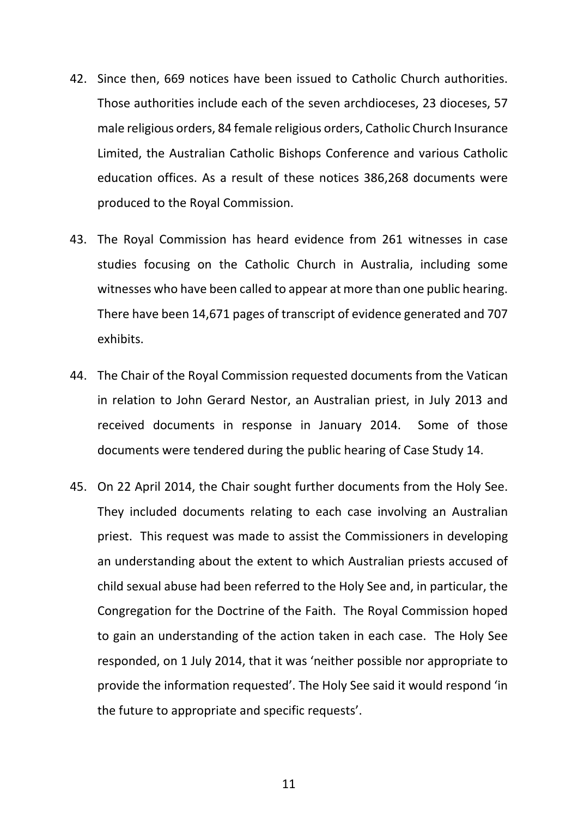- 42. Since then, 669 notices have been issued to Catholic Church authorities. Those authorities include each of the seven archdioceses, 23 dioceses, 57 male religious orders, 84 female religious orders, Catholic Church Insurance Limited, the Australian Catholic Bishops Conference and various Catholic education offices. As a result of these notices 386,268 documents were produced to the Royal Commission.
- 43. The Royal Commission has heard evidence from 261 witnesses in case studies focusing on the Catholic Church in Australia, including some witnesses who have been called to appear at more than one public hearing. There have been 14,671 pages of transcript of evidence generated and 707 exhibits.
- 44. The Chair of the Royal Commission requested documents from the Vatican in relation to John Gerard Nestor, an Australian priest, in July 2013 and received documents in response in January 2014. Some of those documents were tendered during the public hearing of Case Study 14.
- 45. On 22 April 2014, the Chair sought further documents from the Holy See. They included documents relating to each case involving an Australian priest. This request was made to assist the Commissioners in developing an understanding about the extent to which Australian priests accused of child sexual abuse had been referred to the Holy See and, in particular, the Congregation for the Doctrine of the Faith. The Royal Commission hoped to gain an understanding of the action taken in each case. The Holy See responded, on 1 July 2014, that it was 'neither possible nor appropriate to provide the information requested'. The Holy See said it would respond 'in the future to appropriate and specific requests'.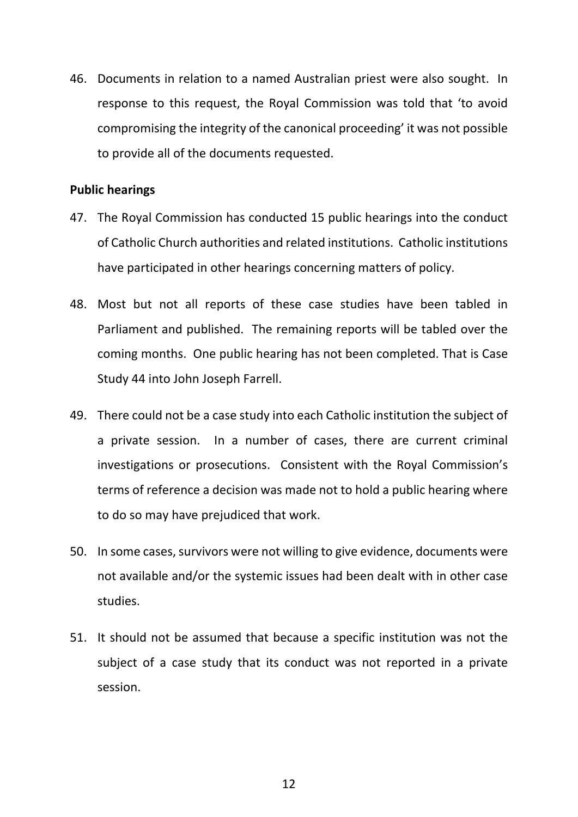46. Documents in relation to a named Australian priest were also sought. In response to this request, the Royal Commission was told that 'to avoid compromising the integrity of the canonical proceeding' it was not possible to provide all of the documents requested.

### **Public hearings**

- 47. The Royal Commission has conducted 15 public hearings into the conduct of Catholic Church authorities and related institutions. Catholic institutions have participated in other hearings concerning matters of policy.
- 48. Most but not all reports of these case studies have been tabled in Parliament and published. The remaining reports will be tabled over the coming months. One public hearing has not been completed. That is Case Study 44 into John Joseph Farrell.
- 49. There could not be a case study into each Catholic institution the subject of a private session. In a number of cases, there are current criminal investigations or prosecutions. Consistent with the Royal Commission's terms of reference a decision was made not to hold a public hearing where to do so may have prejudiced that work.
- 50. In some cases, survivors were not willing to give evidence, documents were not available and/or the systemic issues had been dealt with in other case studies.
- 51. It should not be assumed that because a specific institution was not the subject of a case study that its conduct was not reported in a private session.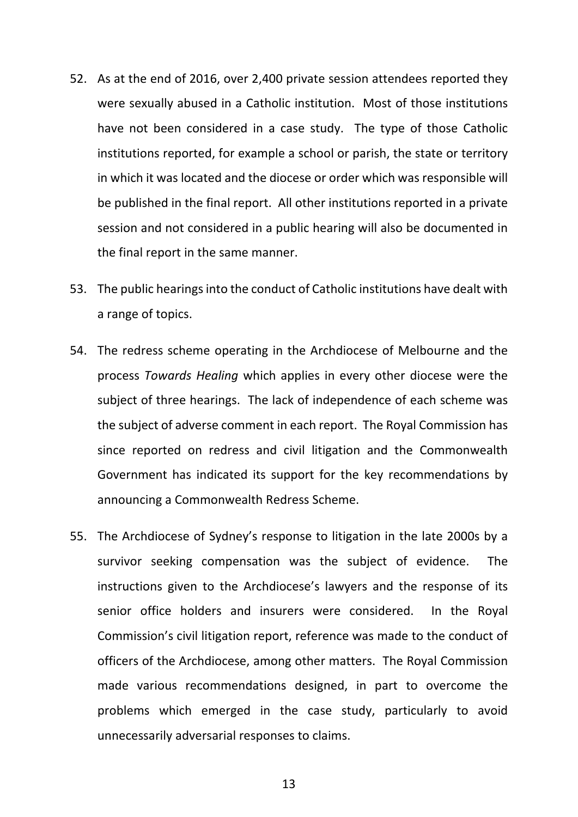- 52. As at the end of 2016, over 2,400 private session attendees reported they were sexually abused in a Catholic institution. Most of those institutions have not been considered in a case study. The type of those Catholic institutions reported, for example a school or parish, the state or territory in which it was located and the diocese or order which was responsible will be published in the final report. All other institutions reported in a private session and not considered in a public hearing will also be documented in the final report in the same manner.
- 53. The public hearings into the conduct of Catholic institutions have dealt with a range of topics.
- 54. The redress scheme operating in the Archdiocese of Melbourne and the process *Towards Healing* which applies in every other diocese were the subject of three hearings. The lack of independence of each scheme was the subject of adverse comment in each report. The Royal Commission has since reported on redress and civil litigation and the Commonwealth Government has indicated its support for the key recommendations by announcing a Commonwealth Redress Scheme.
- 55. The Archdiocese of Sydney's response to litigation in the late 2000s by a survivor seeking compensation was the subject of evidence. The instructions given to the Archdiocese's lawyers and the response of its senior office holders and insurers were considered. In the Royal Commission's civil litigation report, reference was made to the conduct of officers of the Archdiocese, among other matters. The Royal Commission made various recommendations designed, in part to overcome the problems which emerged in the case study, particularly to avoid unnecessarily adversarial responses to claims.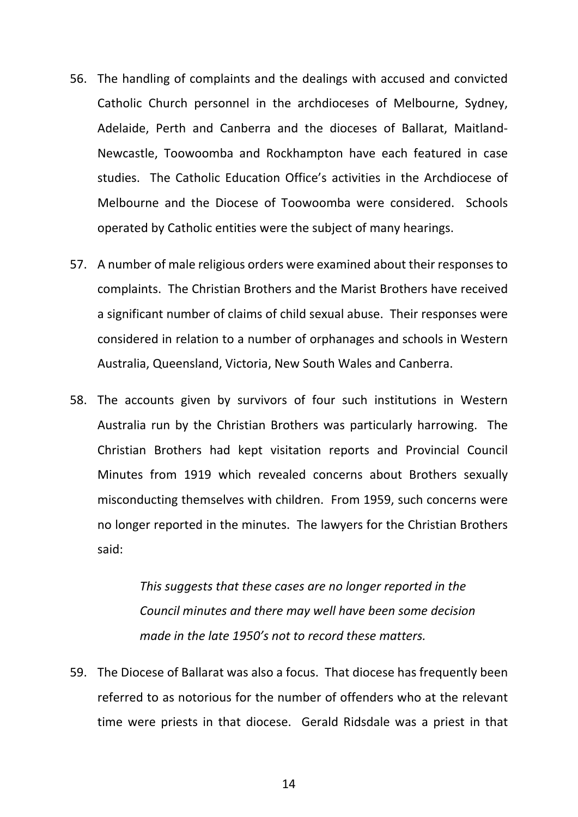- 56. The handling of complaints and the dealings with accused and convicted Catholic Church personnel in the archdioceses of Melbourne, Sydney, Adelaide, Perth and Canberra and the dioceses of Ballarat, Maitland-Newcastle, Toowoomba and Rockhampton have each featured in case studies. The Catholic Education Office's activities in the Archdiocese of Melbourne and the Diocese of Toowoomba were considered. Schools operated by Catholic entities were the subject of many hearings.
- 57. A number of male religious orders were examined about their responses to complaints. The Christian Brothers and the Marist Brothers have received a significant number of claims of child sexual abuse. Their responses were considered in relation to a number of orphanages and schools in Western Australia, Queensland, Victoria, New South Wales and Canberra.
- 58. The accounts given by survivors of four such institutions in Western Australia run by the Christian Brothers was particularly harrowing. The Christian Brothers had kept visitation reports and Provincial Council Minutes from 1919 which revealed concerns about Brothers sexually misconducting themselves with children. From 1959, such concerns were no longer reported in the minutes. The lawyers for the Christian Brothers said:

*This suggests that these cases are no longer reported in the Council minutes and there may well have been some decision made in the late 1950's not to record these matters.*

59. The Diocese of Ballarat was also a focus. That diocese has frequently been referred to as notorious for the number of offenders who at the relevant time were priests in that diocese. Gerald Ridsdale was a priest in that

14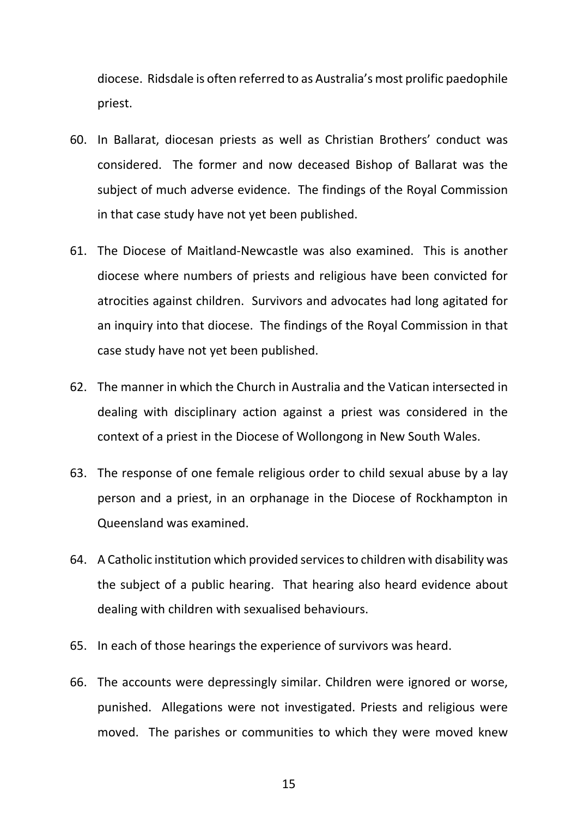diocese. Ridsdale is often referred to as Australia's most prolific paedophile priest.

- 60. In Ballarat, diocesan priests as well as Christian Brothers' conduct was considered. The former and now deceased Bishop of Ballarat was the subject of much adverse evidence. The findings of the Royal Commission in that case study have not yet been published.
- 61. The Diocese of Maitland-Newcastle was also examined. This is another diocese where numbers of priests and religious have been convicted for atrocities against children. Survivors and advocates had long agitated for an inquiry into that diocese. The findings of the Royal Commission in that case study have not yet been published.
- 62. The manner in which the Church in Australia and the Vatican intersected in dealing with disciplinary action against a priest was considered in the context of a priest in the Diocese of Wollongong in New South Wales.
- 63. The response of one female religious order to child sexual abuse by a lay person and a priest, in an orphanage in the Diocese of Rockhampton in Queensland was examined.
- 64. A Catholic institution which provided services to children with disability was the subject of a public hearing. That hearing also heard evidence about dealing with children with sexualised behaviours.
- 65. In each of those hearings the experience of survivors was heard.
- 66. The accounts were depressingly similar. Children were ignored or worse, punished. Allegations were not investigated. Priests and religious were moved. The parishes or communities to which they were moved knew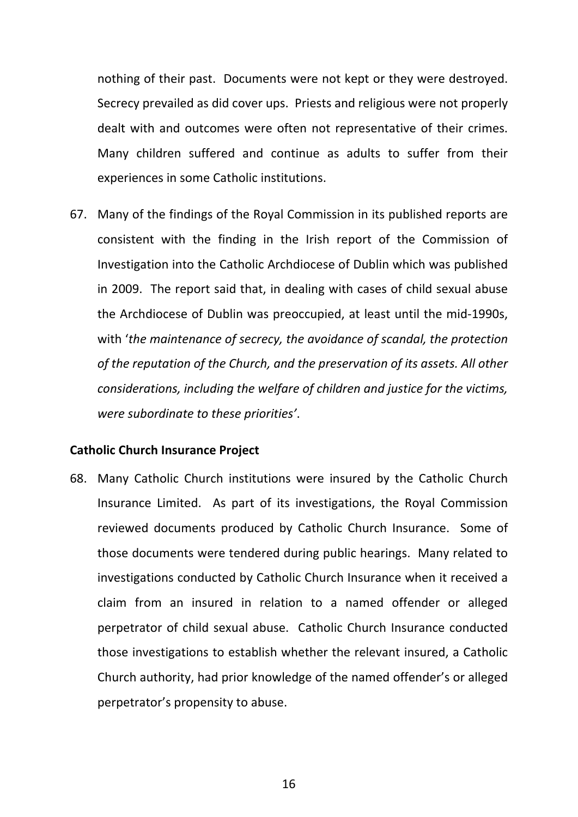nothing of their past. Documents were not kept or they were destroyed. Secrecy prevailed as did cover ups. Priests and religious were not properly dealt with and outcomes were often not representative of their crimes. Many children suffered and continue as adults to suffer from their experiences in some Catholic institutions.

67. Many of the findings of the Royal Commission in its published reports are consistent with the finding in the Irish report of the Commission of Investigation into the Catholic Archdiocese of Dublin which was published in 2009. The report said that, in dealing with cases of child sexual abuse the Archdiocese of Dublin was preoccupied, at least until the mid-1990s, with '*the maintenance of secrecy, the avoidance of scandal, the protection of the reputation of the Church, and the preservation of its assets. All other considerations, including the welfare of children and justice for the victims, were subordinate to these priorities'*.

#### **Catholic Church Insurance Project**

68. Many Catholic Church institutions were insured by the Catholic Church Insurance Limited. As part of its investigations, the Royal Commission reviewed documents produced by Catholic Church Insurance. Some of those documents were tendered during public hearings. Many related to investigations conducted by Catholic Church Insurance when it received a claim from an insured in relation to a named offender or alleged perpetrator of child sexual abuse. Catholic Church Insurance conducted those investigations to establish whether the relevant insured, a Catholic Church authority, had prior knowledge of the named offender's or alleged perpetrator's propensity to abuse.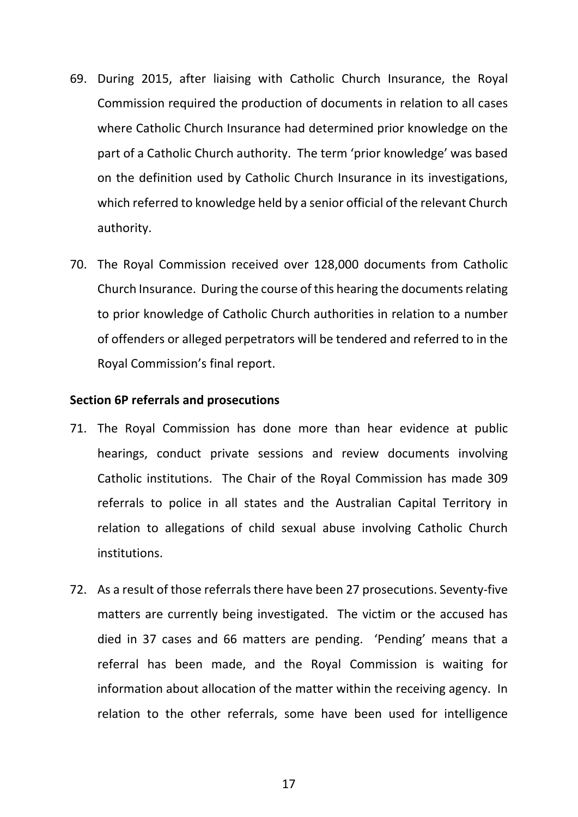- 69. During 2015, after liaising with Catholic Church Insurance, the Royal Commission required the production of documents in relation to all cases where Catholic Church Insurance had determined prior knowledge on the part of a Catholic Church authority. The term 'prior knowledge' was based on the definition used by Catholic Church Insurance in its investigations, which referred to knowledge held by a senior official of the relevant Church authority.
- 70. The Royal Commission received over 128,000 documents from Catholic Church Insurance. During the course of this hearing the documents relating to prior knowledge of Catholic Church authorities in relation to a number of offenders or alleged perpetrators will be tendered and referred to in the Royal Commission's final report.

#### **Section 6P referrals and prosecutions**

- 71. The Royal Commission has done more than hear evidence at public hearings, conduct private sessions and review documents involving Catholic institutions. The Chair of the Royal Commission has made 309 referrals to police in all states and the Australian Capital Territory in relation to allegations of child sexual abuse involving Catholic Church institutions.
- 72. As a result of those referrals there have been 27 prosecutions. Seventy-five matters are currently being investigated. The victim or the accused has died in 37 cases and 66 matters are pending. 'Pending' means that a referral has been made, and the Royal Commission is waiting for information about allocation of the matter within the receiving agency. In relation to the other referrals, some have been used for intelligence

17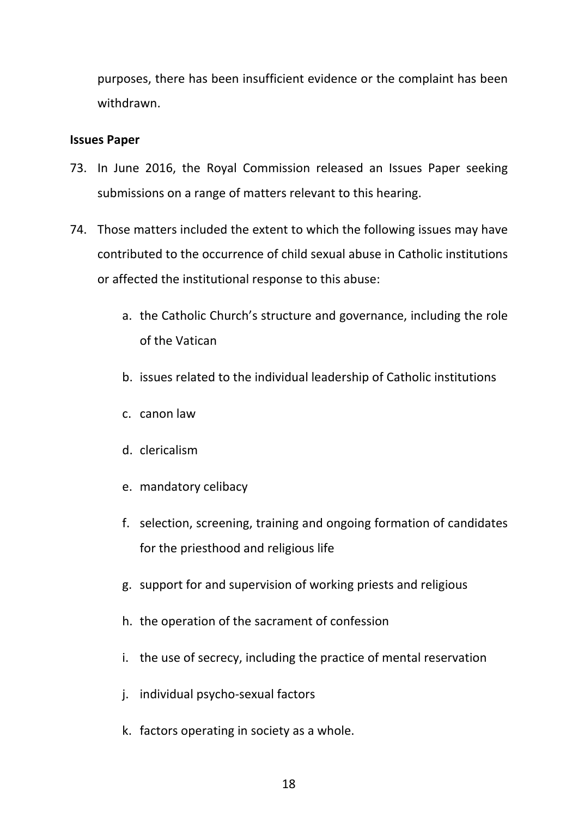purposes, there has been insufficient evidence or the complaint has been withdrawn.

#### **Issues Paper**

- 73. In June 2016, the Royal Commission released an Issues Paper seeking submissions on a range of matters relevant to this hearing.
- 74. Those matters included the extent to which the following issues may have contributed to the occurrence of child sexual abuse in Catholic institutions or affected the institutional response to this abuse:
	- a. the Catholic Church's structure and governance, including the role of the Vatican
	- b. issues related to the individual leadership of Catholic institutions
	- c. canon law
	- d. clericalism
	- e. mandatory celibacy
	- f. selection, screening, training and ongoing formation of candidates for the priesthood and religious life
	- g. support for and supervision of working priests and religious
	- h. the operation of the sacrament of confession
	- i. the use of secrecy, including the practice of mental reservation
	- j. individual psycho-sexual factors
	- k. factors operating in society as a whole.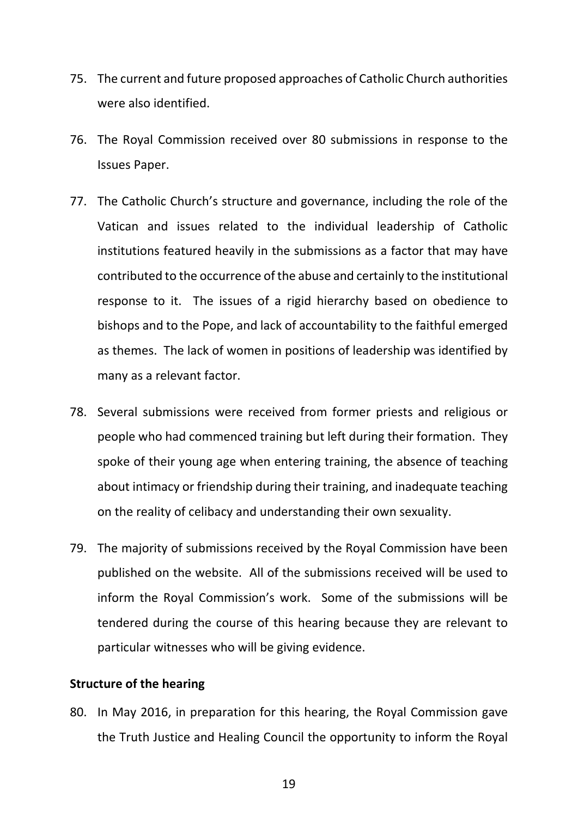- 75. The current and future proposed approaches of Catholic Church authorities were also identified.
- 76. The Royal Commission received over 80 submissions in response to the Issues Paper.
- 77. The Catholic Church's structure and governance, including the role of the Vatican and issues related to the individual leadership of Catholic institutions featured heavily in the submissions as a factor that may have contributed to the occurrence of the abuse and certainly to the institutional response to it. The issues of a rigid hierarchy based on obedience to bishops and to the Pope, and lack of accountability to the faithful emerged as themes. The lack of women in positions of leadership was identified by many as a relevant factor.
- 78. Several submissions were received from former priests and religious or people who had commenced training but left during their formation. They spoke of their young age when entering training, the absence of teaching about intimacy or friendship during their training, and inadequate teaching on the reality of celibacy and understanding their own sexuality.
- 79. The majority of submissions received by the Royal Commission have been published on the website. All of the submissions received will be used to inform the Royal Commission's work. Some of the submissions will be tendered during the course of this hearing because they are relevant to particular witnesses who will be giving evidence.

#### **Structure of the hearing**

80. In May 2016, in preparation for this hearing, the Royal Commission gave the Truth Justice and Healing Council the opportunity to inform the Royal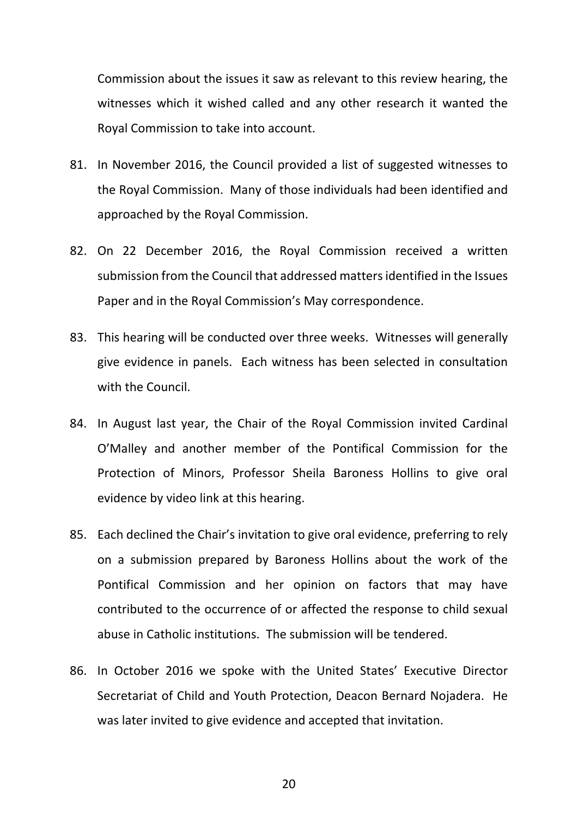Commission about the issues it saw as relevant to this review hearing, the witnesses which it wished called and any other research it wanted the Royal Commission to take into account.

- 81. In November 2016, the Council provided a list of suggested witnesses to the Royal Commission. Many of those individuals had been identified and approached by the Royal Commission.
- 82. On 22 December 2016, the Royal Commission received a written submission from the Council that addressed matters identified in the Issues Paper and in the Royal Commission's May correspondence.
- 83. This hearing will be conducted over three weeks. Witnesses will generally give evidence in panels. Each witness has been selected in consultation with the Council.
- 84. In August last year, the Chair of the Royal Commission invited Cardinal O'Malley and another member of the Pontifical Commission for the Protection of Minors, Professor Sheila Baroness Hollins to give oral evidence by video link at this hearing.
- 85. Each declined the Chair's invitation to give oral evidence, preferring to rely on a submission prepared by Baroness Hollins about the work of the Pontifical Commission and her opinion on factors that may have contributed to the occurrence of or affected the response to child sexual abuse in Catholic institutions. The submission will be tendered.
- 86. In October 2016 we spoke with the United States' Executive Director Secretariat of Child and Youth Protection, Deacon Bernard Nojadera. He was later invited to give evidence and accepted that invitation.

20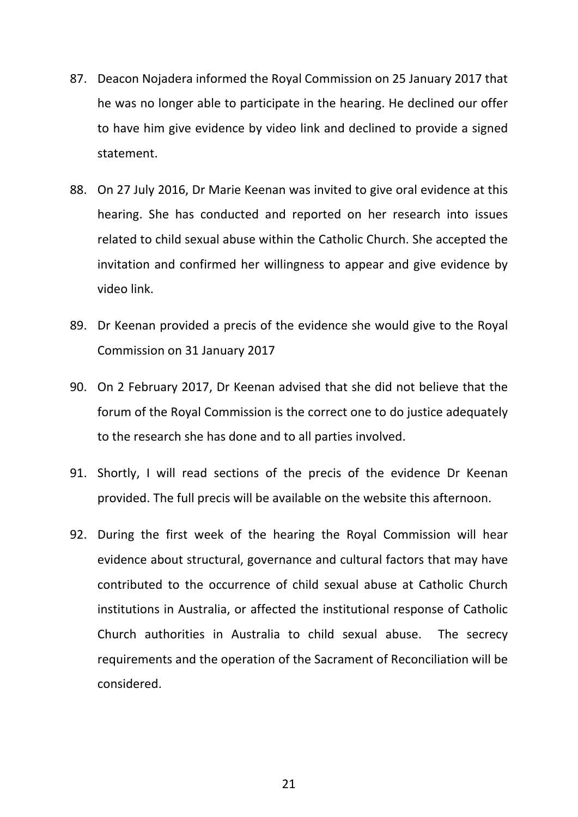- 87. Deacon Nojadera informed the Royal Commission on 25 January 2017 that he was no longer able to participate in the hearing. He declined our offer to have him give evidence by video link and declined to provide a signed statement.
- 88. On 27 July 2016, Dr Marie Keenan was invited to give oral evidence at this hearing. She has conducted and reported on her research into issues related to child sexual abuse within the Catholic Church. She accepted the invitation and confirmed her willingness to appear and give evidence by video link.
- 89. Dr Keenan provided a precis of the evidence she would give to the Royal Commission on 31 January 2017
- 90. On 2 February 2017, Dr Keenan advised that she did not believe that the forum of the Royal Commission is the correct one to do justice adequately to the research she has done and to all parties involved.
- 91. Shortly, I will read sections of the precis of the evidence Dr Keenan provided. The full precis will be available on the website this afternoon.
- 92. During the first week of the hearing the Royal Commission will hear evidence about structural, governance and cultural factors that may have contributed to the occurrence of child sexual abuse at Catholic Church institutions in Australia, or affected the institutional response of Catholic Church authorities in Australia to child sexual abuse. The secrecy requirements and the operation of the Sacrament of Reconciliation will be considered.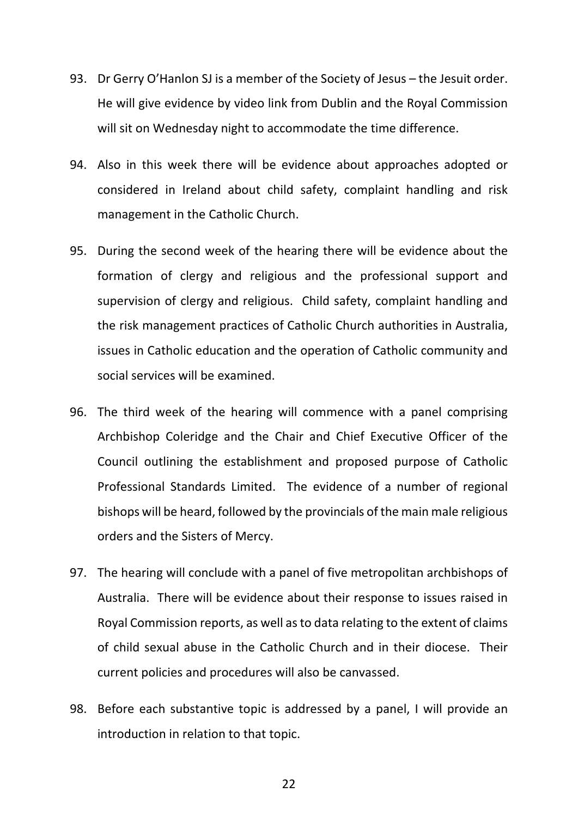- 93. Dr Gerry O'Hanlon SJ is a member of the Society of Jesus the Jesuit order. He will give evidence by video link from Dublin and the Royal Commission will sit on Wednesday night to accommodate the time difference.
- 94. Also in this week there will be evidence about approaches adopted or considered in Ireland about child safety, complaint handling and risk management in the Catholic Church.
- 95. During the second week of the hearing there will be evidence about the formation of clergy and religious and the professional support and supervision of clergy and religious. Child safety, complaint handling and the risk management practices of Catholic Church authorities in Australia, issues in Catholic education and the operation of Catholic community and social services will be examined.
- 96. The third week of the hearing will commence with a panel comprising Archbishop Coleridge and the Chair and Chief Executive Officer of the Council outlining the establishment and proposed purpose of Catholic Professional Standards Limited. The evidence of a number of regional bishops will be heard, followed by the provincials of the main male religious orders and the Sisters of Mercy.
- 97. The hearing will conclude with a panel of five metropolitan archbishops of Australia. There will be evidence about their response to issues raised in Royal Commission reports, as well as to data relating to the extent of claims of child sexual abuse in the Catholic Church and in their diocese. Their current policies and procedures will also be canvassed.
- 98. Before each substantive topic is addressed by a panel, I will provide an introduction in relation to that topic.